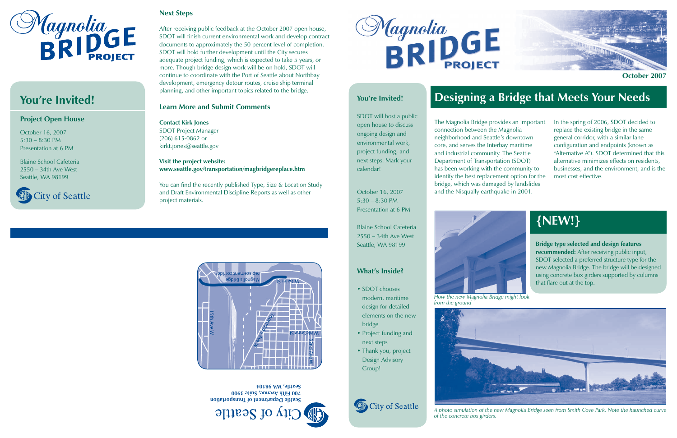## **Next Steps**

After receiving public feedback at the October 2007 open house, SDOT will finish current environmental work and develop contract documents to approximately the 50 percent level of completion. SDOT will hold further development until the City secures adequate project funding, which is expected to take 5 years, or more. Though bridge design work will be on hold, SDOT will continue to coordinate with the Port of Seattle about Northbay development, emergency detour routes, cruise ship terminal planning, and other important topics related to the bridge.

## **Learn More and Submit Comments**

**Contact Kirk Jones** SDOT Project Manager (206) 615-0862 or kirkt.jones@seattle.gov

### **Visit the project website: www.seattle.gov/transportation/magbridgereplace.htm**

You can find the recently published Type, Size & Location Study and Draft Environmental Discipline Reports as well as other project materials.





# **You're Invited!**

## **Project Open House**

October 16, 2007 5:30 – 8:30 PMPresentation at 6 PM

Blaine School Cafeteria2550 – 34th Ave West Seattle, WA 98199



- **SDOT** chooses modern, maritime design for detailed elements on the new bridge
- Project funding and next steps
- Thank you, project Design Advisory

The Magnolia Bridge provides an important connection between the Magnolia neighborhood and Seattle's downtown core, and serves the Interbay maritime and industrial community. The Seattle Department of Transportation (SDOT) has been working with the community to identify the best replacement option for the bridge, which was damaged by landslides and the Nisqually earthquake in 2001.



In the spring of 2006, SDOT decided to replace the existing bridge in the same general corridor, with a similar lane configuration and endpoints (known as "Alternative A"). SDOT determined that this alternative minimizes effects on residents, businesses, and the environment, and is the most cost effective.

## **You're Invited!**

# **Designing a Bridge that Meets Your Needs**

SDOT will host a public open house to discuss ongoing design and environmental work, project funding, and next steps. Mark your calendar!

October 16, 2007 5:30 – 8:30 PM Presentation at 6 PM

Blaine School Cafeteria2550 – 34th Ave WestSeattle, WA 98199

# **What's Inside?**

Group!



# **{NEW!}**

**Bridge type selected and design features recommended:** After receiving public input, SDOT selected a preferred structure type for the new Magnolia Bridge. The bridge will be designed using concrete box girders supported by columns that flare out at the top.

*How the new Magnolia Bridge might look from the ground*





*A photo simulation of the new Magnolia Bridge seen from Smith Cove Park. Note the haunched curve of the concrete box girders.*

**Seattle Department of Transportation 700 Fifth Avenue, Suite 3900 Seattle, WA 98104**